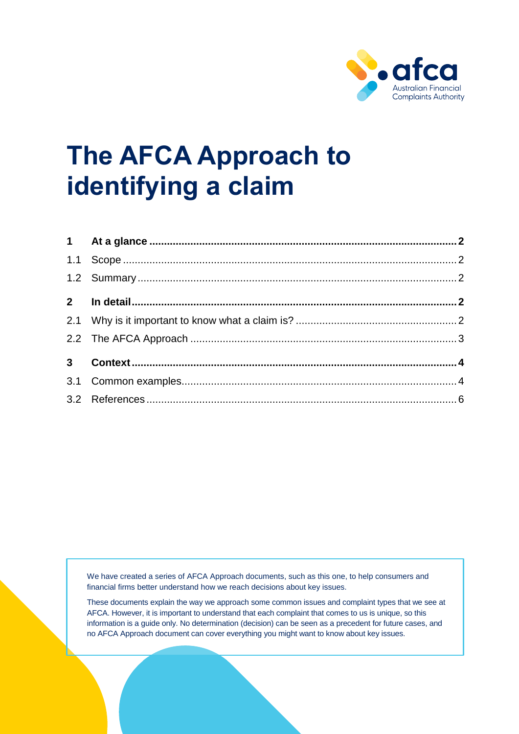

# **The AFCA Approach to identifying a claim**

We have created a series of AFCA Approach documents, such as this one, to help consumers and financial firms better understand how we reach decisions about key issues.

These documents explain the way we approach some common issues and complaint types that we see at AFCA. However, it is important to understand that each complaint that comes to us is unique, so this information is a guide only. No determination (decision) can be seen as a precedent for future cases, and no AFCA Approach document can cover everything you might want to know about key issues.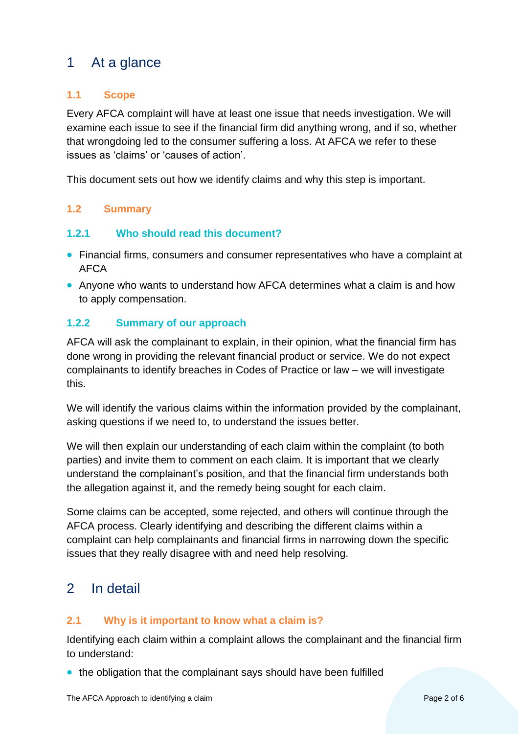# <span id="page-1-0"></span>1 At a glance

# <span id="page-1-1"></span>**1.1 Scope**

Every AFCA complaint will have at least one issue that needs investigation. We will examine each issue to see if the financial firm did anything wrong, and if so, whether that wrongdoing led to the consumer suffering a loss. At AFCA we refer to these issues as 'claims' or 'causes of action'.

This document sets out how we identify claims and why this step is important.

# <span id="page-1-2"></span>**1.2 Summary**

### **1.2.1 Who should read this document?**

- Financial firms, consumers and consumer representatives who have a complaint at AFCA
- Anyone who wants to understand how AFCA determines what a claim is and how to apply compensation.

### **1.2.2 Summary of our approach**

AFCA will ask the complainant to explain, in their opinion, what the financial firm has done wrong in providing the relevant financial product or service. We do not expect complainants to identify breaches in Codes of Practice or law – we will investigate this.

We will identify the various claims within the information provided by the complainant, asking questions if we need to, to understand the issues better.

We will then explain our understanding of each claim within the complaint (to both parties) and invite them to comment on each claim. It is important that we clearly understand the complainant's position, and that the financial firm understands both the allegation against it, and the remedy being sought for each claim.

Some claims can be accepted, some rejected, and others will continue through the AFCA process. Clearly identifying and describing the different claims within a complaint can help complainants and financial firms in narrowing down the specific issues that they really disagree with and need help resolving.

# <span id="page-1-3"></span>2 In detail

# <span id="page-1-4"></span>**2.1 Why is it important to know what a claim is?**

Identifying each claim within a complaint allows the complainant and the financial firm to understand:

• the obligation that the complainant says should have been fulfilled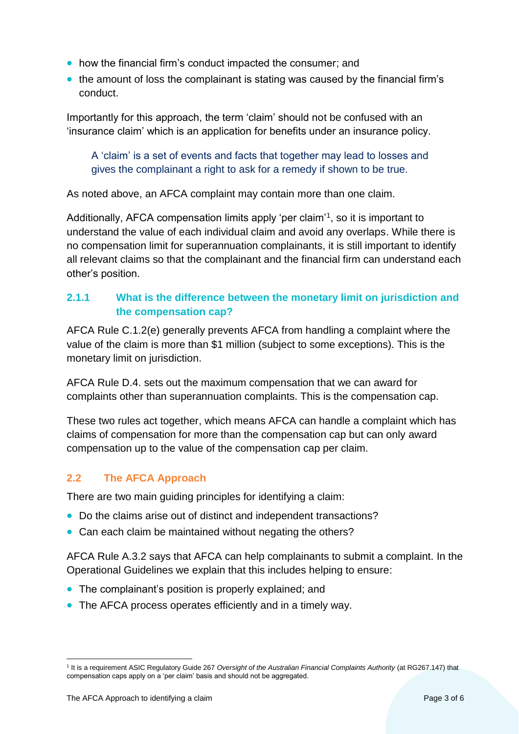- how the financial firm's conduct impacted the consumer; and
- the amount of loss the complainant is stating was caused by the financial firm's conduct.

Importantly for this approach, the term 'claim' should not be confused with an 'insurance claim' which is an application for benefits under an insurance policy.

A 'claim' is a set of events and facts that together may lead to losses and gives the complainant a right to ask for a remedy if shown to be true.

As noted above, an AFCA complaint may contain more than one claim.

Additionally, AFCA compensation limits apply 'per claim'<sup>1</sup>, so it is important to understand the value of each individual claim and avoid any overlaps. While there is no compensation limit for superannuation complainants, it is still important to identify all relevant claims so that the complainant and the financial firm can understand each other's position.

# **2.1.1 What is the difference between the monetary limit on jurisdiction and the compensation cap?**

AFCA Rule C.1.2(e) generally prevents AFCA from handling a complaint where the value of the claim is more than \$1 million (subject to some exceptions). This is the monetary limit on jurisdiction.

AFCA Rule D.4. sets out the maximum compensation that we can award for complaints other than superannuation complaints. This is the compensation cap.

These two rules act together, which means AFCA can handle a complaint which has claims of compensation for more than the compensation cap but can only award compensation up to the value of the compensation cap per claim.

# <span id="page-2-0"></span>**2.2 The AFCA Approach**

There are two main guiding principles for identifying a claim:

- Do the claims arise out of distinct and independent transactions?
- Can each claim be maintained without negating the others?

AFCA Rule A.3.2 says that AFCA can help complainants to submit a complaint. In the Operational Guidelines we explain that this includes helping to ensure:

- The complainant's position is properly explained; and
- The AFCA process operates efficiently and in a timely way.

 1 It is a requirement ASIC Regulatory Guide 267 *Oversight of the Australian Financial Complaints Authority* (at RG267.147) that compensation caps apply on a 'per claim' basis and should not be aggregated.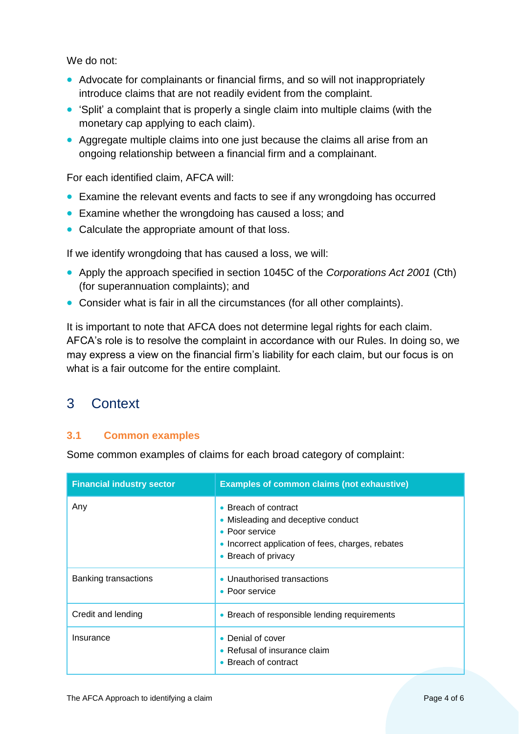We do not:

- Advocate for complainants or financial firms, and so will not inappropriately introduce claims that are not readily evident from the complaint.
- 'Split' a complaint that is properly a single claim into multiple claims (with the monetary cap applying to each claim).
- Aggregate multiple claims into one just because the claims all arise from an ongoing relationship between a financial firm and a complainant.

For each identified claim, AFCA will:

- Examine the relevant events and facts to see if any wrongdoing has occurred
- Examine whether the wrongdoing has caused a loss; and
- Calculate the appropriate amount of that loss.

If we identify wrongdoing that has caused a loss, we will:

- Apply the approach specified in section 1045C of the *Corporations Act 2001* (Cth) (for superannuation complaints); and
- Consider what is fair in all the circumstances (for all other complaints).

It is important to note that AFCA does not determine legal rights for each claim. AFCA's role is to resolve the complaint in accordance with our Rules. In doing so, we may express a view on the financial firm's liability for each claim, but our focus is on what is a fair outcome for the entire complaint.

# <span id="page-3-0"></span>3 Context

# <span id="page-3-1"></span>**3.1 Common examples**

Some common examples of claims for each broad category of complaint:

| <b>Financial industry sector</b> | <b>Examples of common claims (not exhaustive)</b>                                                                                                        |
|----------------------------------|----------------------------------------------------------------------------------------------------------------------------------------------------------|
| Any                              | • Breach of contract<br>• Misleading and deceptive conduct<br>• Poor service<br>• Incorrect application of fees, charges, rebates<br>• Breach of privacy |
| Banking transactions             | • Unauthorised transactions<br>• Poor service                                                                                                            |
| Credit and lending               | • Breach of responsible lending requirements                                                                                                             |
| Insurance                        | Denial of cover<br>• Refusal of insurance claim<br>• Breach of contract                                                                                  |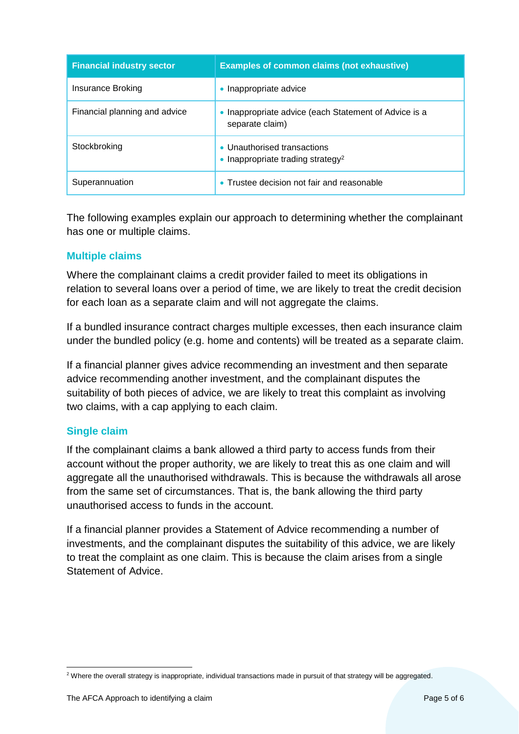| <b>Financial industry sector</b> | <b>Examples of common claims (not exhaustive)</b>                          |
|----------------------------------|----------------------------------------------------------------------------|
| Insurance Broking                | Inappropriate advice                                                       |
| Financial planning and advice    | Inappropriate advice (each Statement of Advice is a<br>separate claim)     |
| Stockbroking                     | • Unauthorised transactions<br>Inappropriate trading strategy <sup>2</sup> |
| Superannuation                   | Trustee decision not fair and reasonable                                   |

The following examples explain our approach to determining whether the complainant has one or multiple claims.

### **Multiple claims**

Where the complainant claims a credit provider failed to meet its obligations in relation to several loans over a period of time, we are likely to treat the credit decision for each loan as a separate claim and will not aggregate the claims.

If a bundled insurance contract charges multiple excesses, then each insurance claim under the bundled policy (e.g. home and contents) will be treated as a separate claim.

If a financial planner gives advice recommending an investment and then separate advice recommending another investment, and the complainant disputes the suitability of both pieces of advice, we are likely to treat this complaint as involving two claims, with a cap applying to each claim.

#### **Single claim**

If the complainant claims a bank allowed a third party to access funds from their account without the proper authority, we are likely to treat this as one claim and will aggregate all the unauthorised withdrawals. This is because the withdrawals all arose from the same set of circumstances. That is, the bank allowing the third party unauthorised access to funds in the account.

If a financial planner provides a Statement of Advice recommending a number of investments, and the complainant disputes the suitability of this advice, we are likely to treat the complaint as one claim. This is because the claim arises from a single Statement of Advice.

 $\overline{a}$ <sup>2</sup> Where the overall strategy is inappropriate, individual transactions made in pursuit of that strategy will be aggregated.